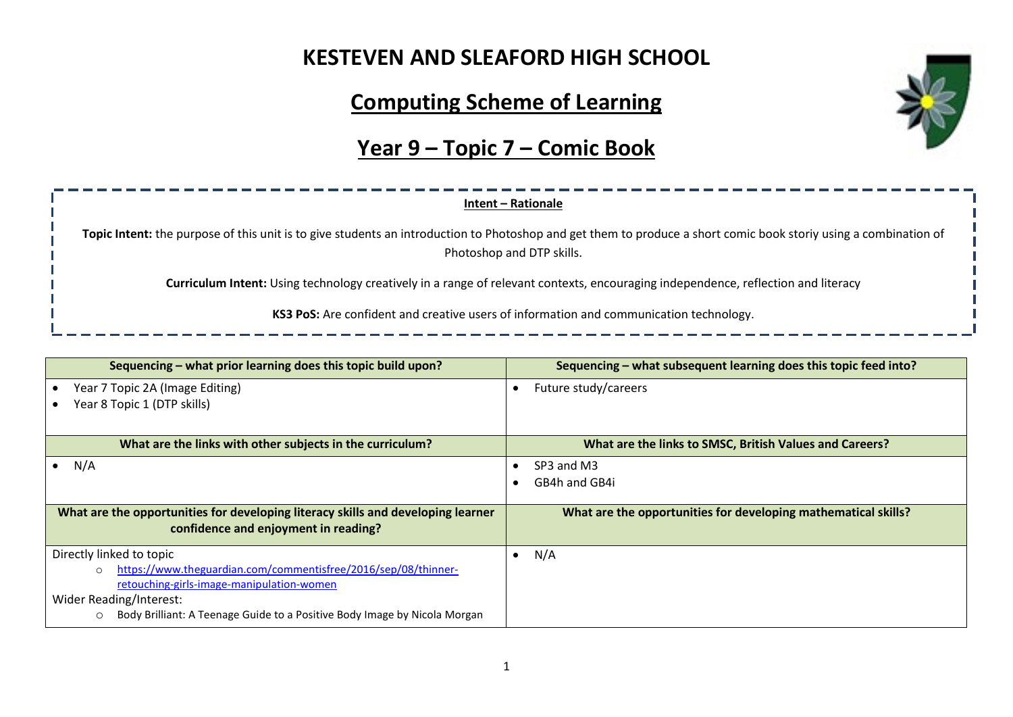### **KESTEVEN AND SLEAFORD HIGH SCHOOL**

# **Computing Scheme of Learning**

# **Year 9 – Topic 7 – Comic Book**



| Sequencing – what prior learning does this topic build upon?                                                             | Sequencing – what subsequent learning does this topic feed into? |  |  |
|--------------------------------------------------------------------------------------------------------------------------|------------------------------------------------------------------|--|--|
| Year 7 Topic 2A (Image Editing)                                                                                          | Future study/careers                                             |  |  |
| Year 8 Topic 1 (DTP skills)                                                                                              |                                                                  |  |  |
| What are the links with other subjects in the curriculum?                                                                | What are the links to SMSC, British Values and Careers?          |  |  |
| N/A                                                                                                                      | SP3 and M3                                                       |  |  |
|                                                                                                                          | GB4h and GB4i                                                    |  |  |
| What are the opportunities for developing literacy skills and developing learner<br>confidence and enjoyment in reading? | What are the opportunities for developing mathematical skills?   |  |  |
| Directly linked to topic                                                                                                 | N/A<br>٠                                                         |  |  |
| https://www.theguardian.com/commentisfree/2016/sep/08/thinner-<br>$\circ$                                                |                                                                  |  |  |
| retouching-girls-image-manipulation-women                                                                                |                                                                  |  |  |
| Wider Reading/Interest:                                                                                                  |                                                                  |  |  |
| Body Brilliant: A Teenage Guide to a Positive Body Image by Nicola Morgan<br>$\circ$                                     |                                                                  |  |  |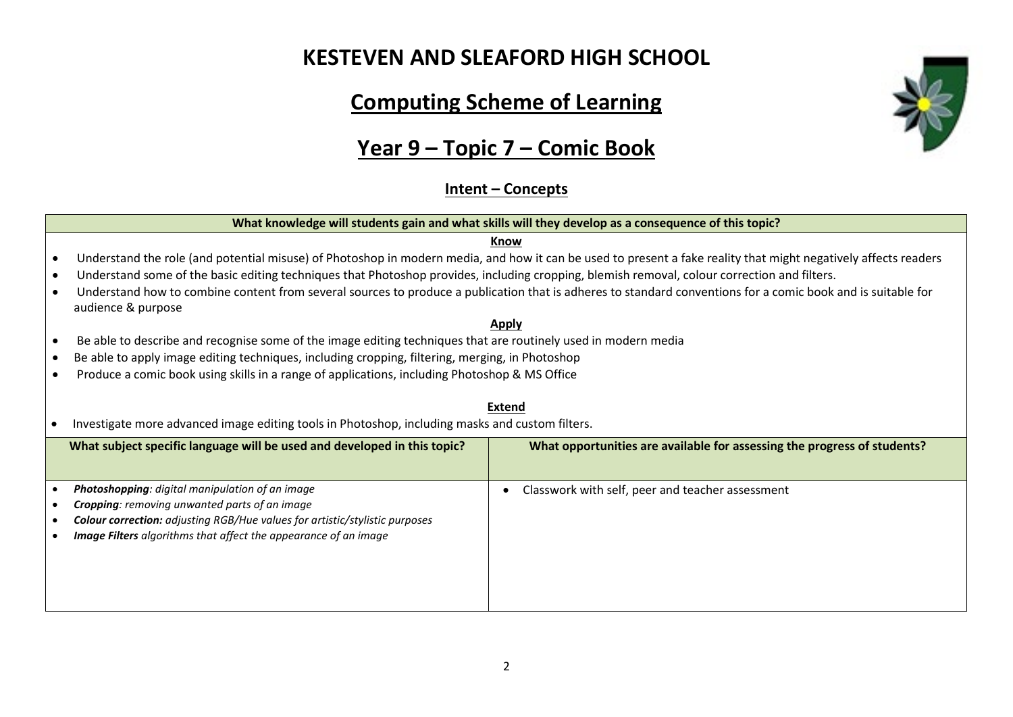### **KESTEVEN AND SLEAFORD HIGH SCHOOL**

# **Computing Scheme of Learning**

# **Year 9 – Topic 7 – Comic Book**

#### **Intent – Concepts**

#### **What knowledge will students gain and what skills will they develop as a consequence of this topic? Know** • Understand the role (and potential misuse) of Photoshop in modern media, and how it can be used to present a fake reality that might negatively affects readers • Understand some of the basic editing techniques that Photoshop provides, including cropping, blemish removal, colour correction and filters. • Understand how to combine content from several sources to produce a publication that is adheres to standard conventions for a comic book and is suitable for audience & purpose **Apply** • Be able to describe and recognise some of the image editing techniques that are routinely used in modern media • Be able to apply image editing techniques, including cropping, filtering, merging, in Photoshop • Produce a comic book using skills in a range of applications, including Photoshop & MS Office **Extend** • Investigate more advanced image editing tools in Photoshop, including masks and custom filters. **What subject specific language will be used and developed in this topic? What opportunities are available for assessing the progress of students?** • *Photoshopping: digital manipulation of an image* • *Cropping: removing unwanted parts of an image* • *Colour correction: adjusting RGB/Hue values for artistic/stylistic purposes* • *Image Filters algorithms that affect the appearance of an image* • Classwork with self, peer and teacher assessment